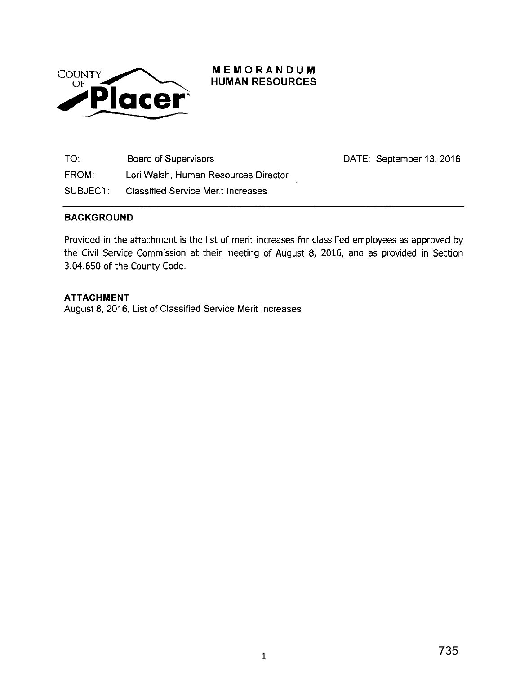

## **MEMORANDUM HUMAN RESOURCES**

TO: Board of Supervisors FROM: Lori Walsh, Human Resources Director SUBJECT: Classified Service Merit Increases

## **BACKGROUND**

Provided in the attachment is the list of merit increases for classified employees as approved by the Civil Service Commission at their meeting of August 8, 2016, and as provided in Section 3.04.650 of the County Code.

## **ATTACHMENT**

August 8, 2016, List of Classified Service Merit Increases

735

DATE: September 13, 2016